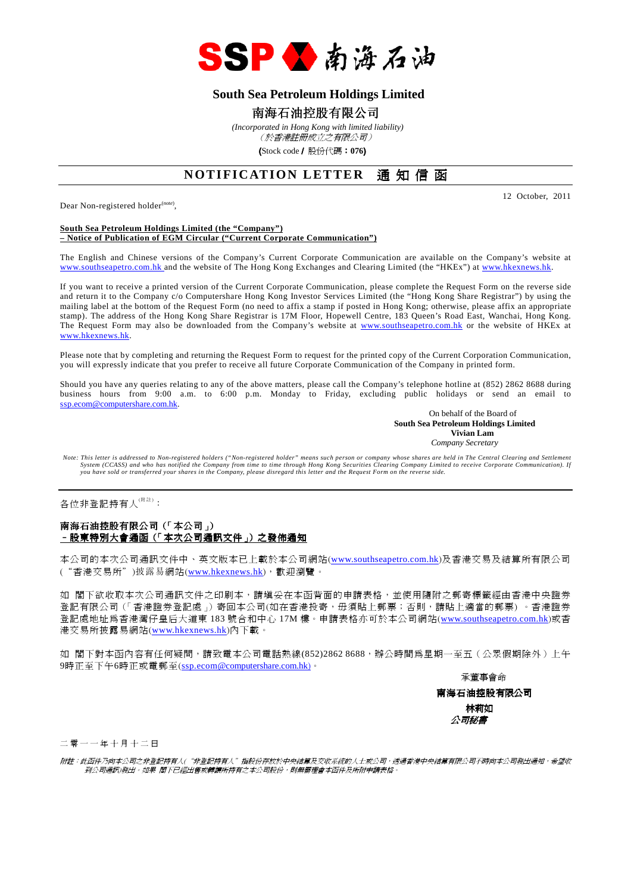

# **South Sea Petroleum Holdings Limited**

# 南海石油控股有限公司

 *(Incorporated in Hong Kong with limited liability)* (於香港註冊成立之有限公司)

(Stock code/ 股份代碼:**076**)

# **NOTIFICATION LETTER** 通知信函

Dear Non-registered holder<sup>(note)</sup>,

12 October, 2011

#### **South Sea Petroleum Holdings Limited (the "Company") – Notice of Publication of EGM Circular ("Current Corporate Communication")**

The English and Chinese versions of the Company's Current Corporate Communication are available on the Company's website at www.southseapetro.com.hk and the website of The Hong Kong Exchanges and Clearing Limited (the "HKEx") at www.hkexnews.hk.

If you want to receive a printed version of the Current Corporate Communication, please complete the Request Form on the reverse side and return it to the Company c/o Computershare Hong Kong Investor Services Limited (the "Hong Kong Share Registrar") by using the mailing label at the bottom of the Request Form (no need to affix a stamp if posted in Hong Kong; otherwise, please affix an appropriate stamp). The address of the Hong Kong Share Registrar is 17M Floor, Hopewell Centre, 183 Queen's Road East, Wanchai, Hong Kong. The Request Form may also be downloaded from the Company's website at www.southseapetro.com.hk or the website of HKEx at www.hkexnews.hk.

Please note that by completing and returning the Request Form to request for the printed copy of the Current Corporation Communication, you will expressly indicate that you prefer to receive all future Corporate Communication of the Company in printed form.

Should you have any queries relating to any of the above matters, please call the Company's telephone hotline at (852) 2862 8688 during business hours from 9:00 a.m. to 6:00 p.m. Monday to Friday, excluding public holidays or send an email to ssp.ecom@computershare.com.hk.

On behalf of the Board of  **South Sea Petroleum Holdings Limited Vivian Lam**  *Company Secretary* 

Note: This letter is addressed to Non-registered holders ("Non-registered holder" means such person or company whose shares are held in The Central Clearing and Settlement<br>System (CCASS) and who has notified the Company fr *you have sold or transferred your shares in the Company, please disregard this letter and the Request Form on the reverse side.* 

各位非登記持有人<sup>(附註)</sup>:

#### 南海石油控股有限公司(「本公司」) <u>- 股東特別大會通函(「本次公司通訊文件」)之發佈通知</u>

本公司的本次公司通訊文件中、英文版本已上載於本公司網站(www.southseapetro.com.hk)及香港交易及結算所有限公司 ("香港交易所")披露易網站(www.hkexnews.hk),歡迎瀏覽。

如 閣下欲收取本次公司通訊文件之印刷本,請填妥在本函背面的申請表格,並使用隨附之郵寄標籤經由香港中央證券 登記有限公司(「香港證券登記處」)寄回本公司(如在香港投寄,毋須貼上郵票;否則,請貼上適當的郵票) 。香港證券 登記處地址為香港灣仔皇后大道東 183 號合和中心 17M 樓。申請表格亦可於本公司網站(www.southseapetro.com.hk)或香 港交易所披露易網站(www.hkexnews.hk)內下載。

如 閣下對本函內容有任何疑問,請致電本公司電話熱線(852)2862 8688,辦公時間為星期一至五(公眾假期除外)上午 9時正至下午6時正或電郵至(ssp.ecom@computershare.com.hk)。

承董事會命

南海石油控股有限公司 林莉如 公司秘書

二 零 一 一 年 十 月 十 二 日

附註:此函件乃向本公司之非登記持有人("非登記持有人"指股份存放於中央結算及交收系統的人士或公司,透過香港中央結算有限公司不時向本公司發出通知,希望收 到公司通訊)發出。如果 閣下已經出售或轉讓所持有之本公司股份,則無需理會本函件及所附申請表格。